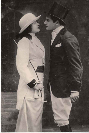